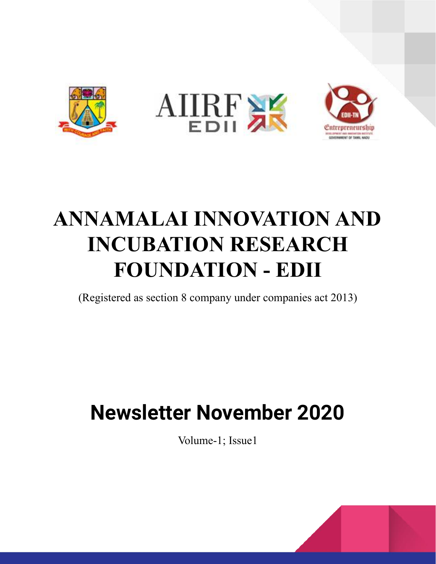

# **ANNAMALAI INNOVATION AND INCUBATION RESEARCH FOUNDATION - EDII**

(Registered as section 8 company under companies act 2013)

# **Newsletter November 2020**

Volume-1; Issue1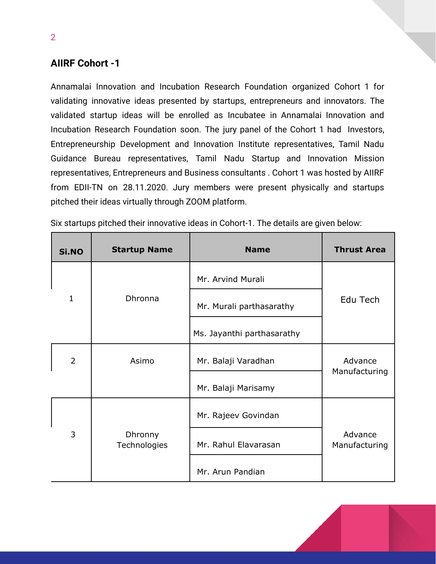# **AIIRF Cohort -1**

2

Annamalai Innovation and Incubation Research Foundation organized Cohort 1 for validating innovative ideas presented by startups, entrepreneurs and innovators. The validated startup ideas will be enrolled as Incubatee in Annamalai Innovation and Incubation Research Foundation soon. The jury panel of the Cohort 1 had Investors, Entrepreneurship Development and Innovation Institute representatives, Tamil Nadu Guidance Bureau representatives, Tamil Nadu Startup and Innovation Mission representatives, Entrepreneurs and Business consultants . Cohort 1 was hosted by AIIRF from EDII-TN on 28.11.2020. Jury members were present physically and startups pitched their ideas virtually through ZOOM platform.

| Si.NO          | <b>Startup Name</b>     | <b>Name</b>                | <b>Thrust Area</b>       |  |
|----------------|-------------------------|----------------------------|--------------------------|--|
|                |                         | Mr. Arvind Murali          |                          |  |
| 1              | Dhronna                 | Mr. Murali parthasarathy   | Edu Tech                 |  |
|                |                         | Ms. Jayanthi parthasarathy |                          |  |
| $\overline{2}$ | Asimo                   | Mr. Balaji Varadhan        | Advance<br>Manufacturing |  |
|                |                         | Mr. Balaji Marisamy        |                          |  |
|                |                         | Mr. Rajeev Govindan        |                          |  |
| 3              | Dhronny<br>Technologies | Mr. Rahul Elavarasan       | Advance<br>Manufacturing |  |
|                |                         | Mr. Arun Pandian           |                          |  |

Six startups pitched their innovative ideas in Cohort-1. The details are given below: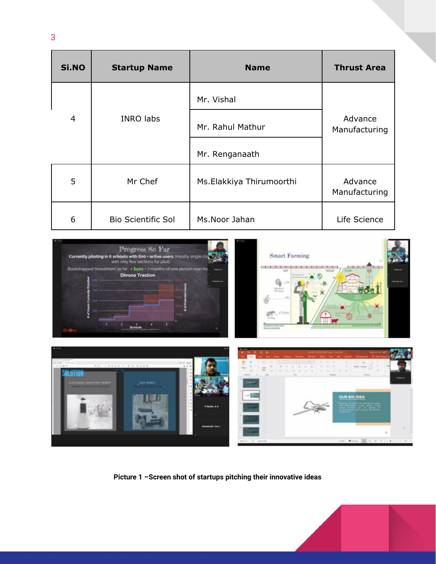| Si.NO          | <b>Startup Name</b>       | <b>Name</b>              | <b>Thrust Area</b>       |  |
|----------------|---------------------------|--------------------------|--------------------------|--|
|                |                           | Mr. Vishal               |                          |  |
| $\overline{4}$ | <b>INRO labs</b>          | Mr. Rahul Mathur         | Advance<br>Manufacturing |  |
|                |                           | Mr. Renganaath           |                          |  |
| 5              | Mr Chef                   | Ms.Elakkiya Thirumoorthi | Advance<br>Manufacturing |  |
| 6              | <b>Bio Scientific Sol</b> | Ms.Noor Jahan            | Life Science             |  |



**Picture 1 –Screen shot of startups pitching their innovative ideas**

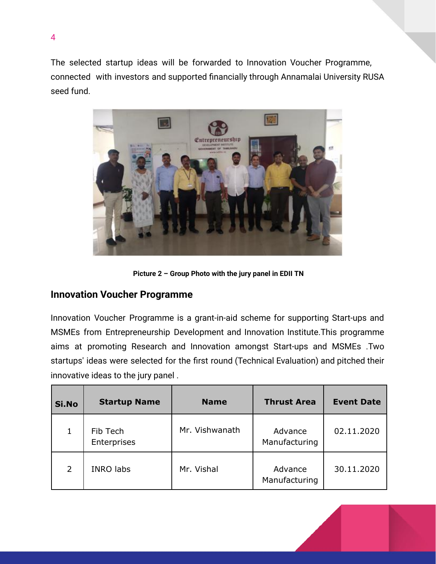The selected startup ideas will be forwarded to Innovation Voucher Programme, connected with investors and supported financially through Annamalai University RUSA seed fund.



**Picture 2 – Group Photo with the jury panel in EDII TN**

#### **Innovation Voucher Programme**

Innovation Voucher Programme is a grant-in-aid scheme for supporting Start-ups and MSMEs from Entrepreneurship Development and Innovation Institute.This programme aims at promoting Research and Innovation amongst Start-ups and MSMEs .Two startups' ideas were selected for the first round (Technical Evaluation) and pitched their innovative ideas to the jury panel .

| Si.No          | <b>Startup Name</b>     | <b>Name</b>    | <b>Thrust Area</b>       | <b>Event Date</b> |
|----------------|-------------------------|----------------|--------------------------|-------------------|
|                | Fib Tech<br>Enterprises | Mr. Vishwanath | Advance<br>Manufacturing | 02.11.2020        |
| $\overline{2}$ | <b>INRO labs</b>        | Mr. Vishal     | Advance<br>Manufacturing | 30.11.2020        |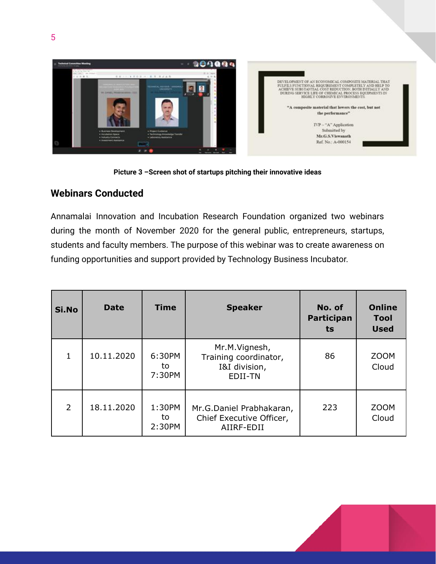



### **Webinars Conducted**

Annamalai Innovation and Incubation Research Foundation organized two webinars during the month of November 2020 for the general public, entrepreneurs, startups, students and faculty members. The purpose of this webinar was to create awareness on funding opportunities and support provided by Technology Business Incubator.

| Si.No          | <b>Date</b> | <b>Time</b>            | <b>Speaker</b>                                                     | No. of<br>Participan<br>ts | <b>Online</b><br><b>Tool</b><br><b>Used</b> |
|----------------|-------------|------------------------|--------------------------------------------------------------------|----------------------------|---------------------------------------------|
| 1              | 10.11.2020  | 6:30PM<br>to<br>7:30PM | Mr.M.Vignesh,<br>Training coordinator,<br>I&I division,<br>EDII-TN | 86                         | <b>ZOOM</b><br>Cloud                        |
| $\overline{2}$ | 18.11.2020  | 1:30PM<br>to<br>2:30PM | Mr.G.Daniel Prabhakaran,<br>Chief Executive Officer,<br>AIIRF-EDII | 223                        | <b>ZOOM</b><br>Cloud                        |

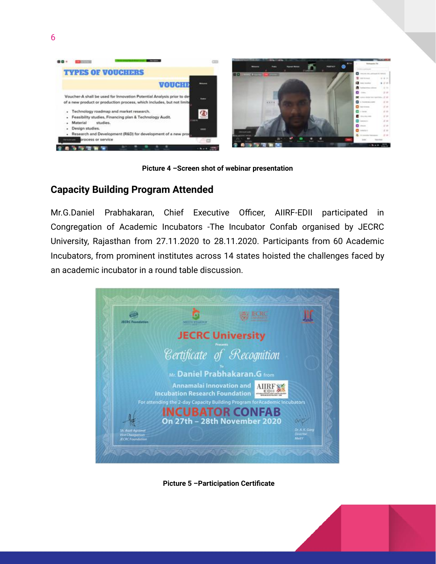

**Picture 4 –Screen shot of webinar presentation**

### **Capacity Building Program Attended**

Mr.G.Daniel Prabhakaran, Chief Executive Officer, AIIRF-EDII participated in Congregation of Academic Incubators -The Incubator Confab organised by JECRC University, Rajasthan from 27.11.2020 to 28.11.2020. Participants from 60 Academic Incubators, from prominent institutes across 14 states hoisted the challenges faced by an academic incubator in a round table discussion.



**Picture 5 –Participation Certificate**

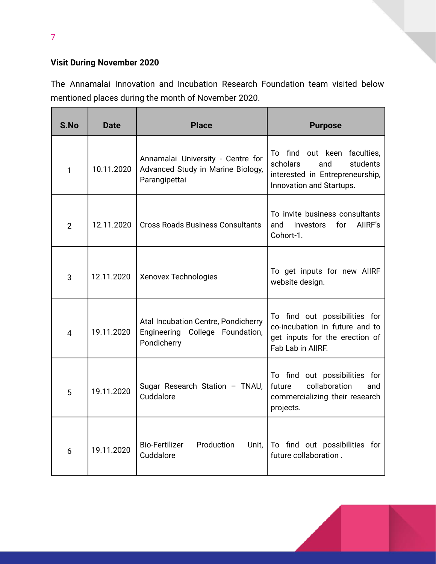# **Visit During November 2020**

The Annamalai Innovation and Incubation Research Foundation team visited below mentioned places during the month of November 2020.

| S.No           | <b>Date</b> | <b>Place</b>                                                                            | <b>Purpose</b>                                                                                                            |
|----------------|-------------|-----------------------------------------------------------------------------------------|---------------------------------------------------------------------------------------------------------------------------|
| 1              | 10.11.2020  | Annamalai University - Centre for<br>Advanced Study in Marine Biology,<br>Parangipettai | To find out keen faculties,<br>scholars<br>students<br>and<br>interested in Entrepreneurship,<br>Innovation and Startups. |
| $\overline{2}$ | 12.11.2020  | <b>Cross Roads Business Consultants</b>                                                 | To invite business consultants<br>for<br>AIIRF's<br>and<br>investors<br>Cohort-1.                                         |
| 3              | 12.11.2020  | <b>Xenovex Technologies</b>                                                             | To get inputs for new AIIRF<br>website design.                                                                            |
| 4              | 19.11.2020  | Atal Incubation Centre, Pondicherry<br>Engineering College Foundation,<br>Pondicherry   | To find out possibilities for<br>co-incubation in future and to<br>get inputs for the erection of<br>Fab Lab in AIIRF.    |
| 5              | 19.11.2020  | Sugar Research Station - TNAU,<br>Cuddalore                                             | To find out possibilities for<br>collaboration<br>future<br>and<br>commercializing their research<br>projects.            |
| 6              | 19.11.2020  | <b>Bio-Fertilizer</b><br>Production<br>Unit,<br>Cuddalore                               | To find out possibilities for<br>future collaboration.                                                                    |



7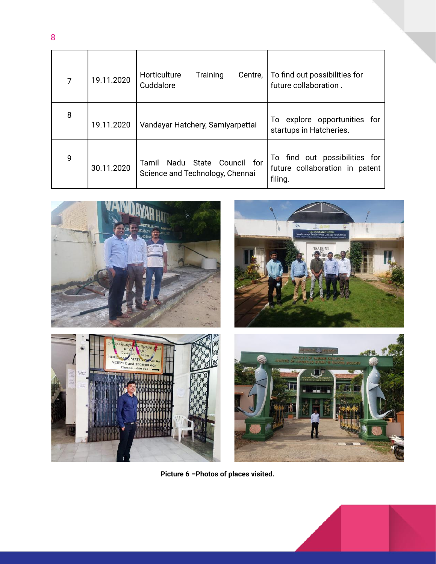| $\overline{7}$ | 19.11.2020 | Horticulture<br>Training<br>Centre,<br>Cuddalore                      | To find out possibilities for<br>future collaboration.                     |
|----------------|------------|-----------------------------------------------------------------------|----------------------------------------------------------------------------|
| 8              | 19.11.2020 | Vandayar Hatchery, Samiyarpettai                                      | explore opportunities for<br>To l<br>startups in Hatcheries.               |
| 9              | 30.11.2020 | Nadu State<br>Council for<br>Tamil<br>Science and Technology, Chennai | To find out possibilities for<br>future collaboration in patent<br>filing. |



**Picture 6 –Photos of places visited.**

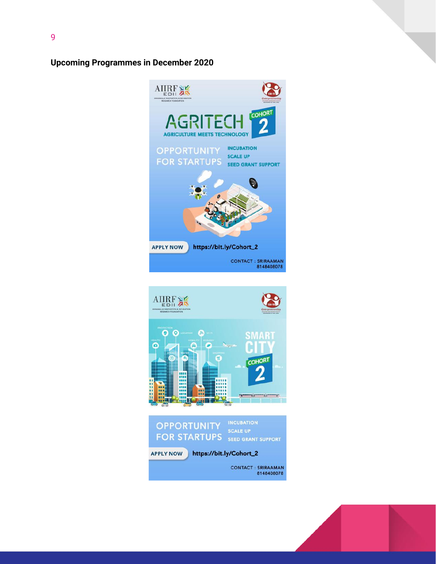#### **Upcoming Programmes in December 2020**